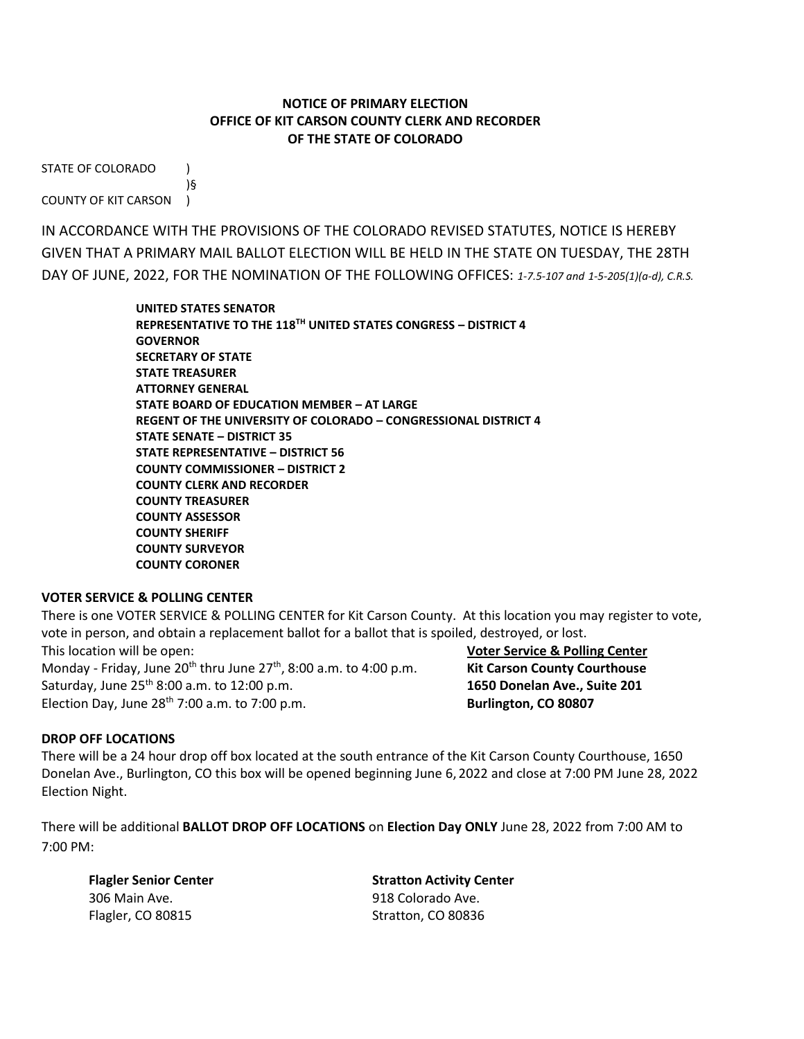## **NOTICE OF PRIMARY ELECTION OFFICE OF KIT CARSON COUNTY CLERK AND RECORDER OF THE STATE OF COLORADO**

STATE OF COLORADO )

)§ COUNTY OF KIT CARSON )

IN ACCORDANCE WITH THE PROVISIONS OF THE COLORADO REVISED STATUTES, NOTICE IS HEREBY GIVEN THAT A PRIMARY MAIL BALLOT ELECTION WILL BE HELD IN THE STATE ON TUESDAY, THE 28TH DAY OF JUNE, 2022, FOR THE NOMINATION OF THE FOLLOWING OFFICES: *1-7.5-107 and 1-5-205(1)(a-d), C.R.S.*

> **UNITED STATES SENATOR REPRESENTATIVE TO THE 118 TH UNITED STATES CONGRESS – DISTRICT 4 GOVERNOR SECRETARY OF STATE STATE TREASURER ATTORNEY GENERAL STATE BOARD OF EDUCATION MEMBER – AT LARGE REGENT OF THE UNIVERSITY OF COLORADO – CONGRESSIONAL DISTRICT 4 STATE SENATE – DISTRICT 35 STATE REPRESENTATIVE – DISTRICT 56 COUNTY COMMISSIONER – DISTRICT 2 COUNTY CLERK AND RECORDER COUNTY TREASURER COUNTY ASSESSOR COUNTY SHERIFF COUNTY SURVEYOR COUNTY CORONER**

## **VOTER SERVICE & POLLING CENTER**

There is one VOTER SERVICE & POLLING CENTER for Kit Carson County. At this location you may register to vote, vote in person, and obtain a replacement ballot for a ballot that is spoiled, destroyed, or lost. This location will be open: **Voter Service & Polling Center** Monday - Friday, June  $20^{th}$  thru June  $27^{th}$ ,  $8:00$  a.m. to  $4:00$  p.m. **Kit Carson County Courthouse** Saturday, June 25 th 8:00 a.m. to 12:00 p.m. **1650 Donelan Ave., Suite 201** Election Day, June 28<sup>th</sup> 7:00 a.m. to 7:00 p.m. **Burlington, CO 80807** 

## **DROP OFF LOCATIONS**

There will be a 24 hour drop off box located at the south entrance of the Kit Carson County Courthouse, 1650 Donelan Ave., Burlington, CO this box will be opened beginning June 6, 2022 and close at 7:00 PM June 28, 2022 Election Night.

There will be additional **BALLOT DROP OFF LOCATIONS** on **Election Day ONLY** June 28, 2022 from 7:00 AM to 7:00 PM:

306 Main Ave. 918 Colorado Ave. Flagler, CO 80815 Stratton, CO 80836

**Flagler Senior Center Stratton Activity Center**